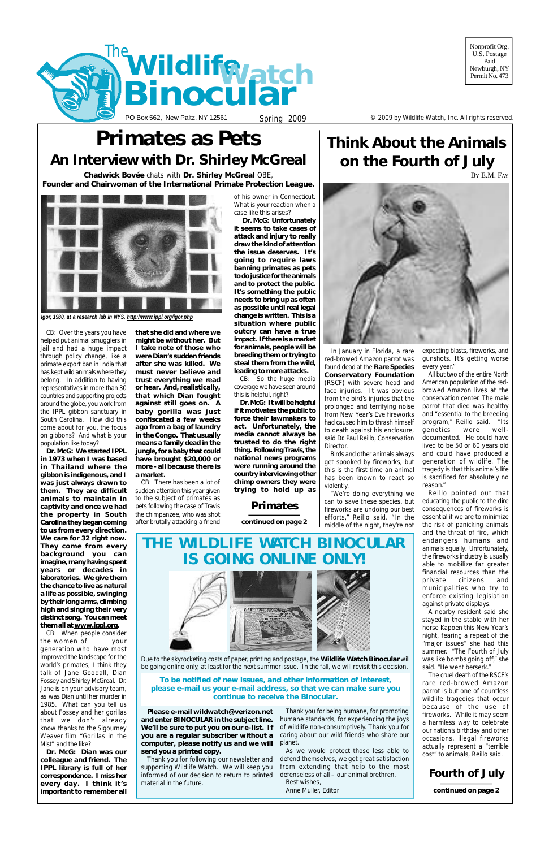U.S. Postage Paid Newburgh, NY Permit<sub>No.</sub> 473

PO Box 562, New Paltz, NY 12561 Spring 2009 Spring 2009 Spring Section 4 C 2009 by Wildlife Watch, Inc. All rights reserved.



## **Fourth of July**

**continued on page 2**

# **Think About the Animals on the Fourth of July** BY E.M. FAY



# **Primates as Pets An Interview with Dr. Shirley McGreal**



In January in Florida, a rare red-browed Amazon parrot was found dead at the **Rare Species Conservatory Foundation** (RSCF) with severe head and face injuries. It was obvious from the bird's injuries that the prolonged and terrifying noise from New Year's Eve fireworks had caused him to thrash himself to death against his enclosure, said Dr. Paul Reillo, Conservation Director.

Birds and other animals always get spooked by fireworks, but this is the first time an animal has been known to react so violently.

"We're doing everything we can to save these species, but fireworks are undoing our best efforts," Reillo said. "In the middle of the night, they're not

expecting blasts, fireworks, and gunshots. It's getting worse every year."

All but two of the entire North American population of the redbrowed Amazon lives at the conservation center. The male parrot that died was healthy and "essential to the breeding program," Reillo said. "Its genetics were welldocumented. He could have lived to be 50 or 60 years old and could have produced a generation of wildlife. The tragedy is that this animal's life is sacrificed for absolutely no reason."

Reillo pointed out that educating the public to the dire consequences of fireworks is essential if we are to minimize the risk of panicking animals and the threat of fire, which endangers humans and animals equally. Unfortunately, the fireworks industry is usually able to mobilize far greater financial resources than the private citizens and municipalities who try to enforce existing legislation against private displays.

A nearby resident said she stayed in the stable with her

horse Kapoen this New Year's night, fearing a repeat of the "major issues" she had this summer. "The Fourth of July was like bombs going off," she said. "He went berserk."

The cruel death of the RSCF's rare red-browed Amazon parrot is but one of countless wildlife tragedies that occur because of the use of fireworks. While it may seem a harmless way to celebrate our nation's birthday and other occasions, illegal fireworks actually represent a "terrible cost" to animals, Reillo said.

CB: Over the years you have helped put animal smugglers in jail and had a huge impact through policy change, like a primate export ban in India that has kept wild animals where they belong. In addition to having representatives in more than 30 countries and supporting projects around the globe, you work from the IPPL gibbon sanctuary in South Carolina. How did this come about for you, the focus on gibbons? And what is your population like today?

**Dr. McG: It will be helpful ifitmotivates thepublic to force their lawmakers to act. Unfortunately, the media cannot always be trusted to do the right thing. FollowingTravis, the national news programs were running around the country interviewingother chimp owners they were trying to hold up as**

**Dr. McG: We started IPPL in 1973 when I was based in Thailand where the gibbon is indigenous, and I was just always drawn to them. They are difficult animals to maintain in captivity and once we had the property in South Carolina theybegancoming to us from every direction. We care for 32 right now. They come from every background you can imagine, manyhavingspent years or decades in laboratories. We give them the chance to live as natural a life as possible, swinging by their longarms, climbing high and singing their very distinct song. Youcan meet**

#### **themall at [www.ippl.org](http://www.ippl.org).**

CB: When people consider the women of your generation who have most improved the landscape for the world's primates, I think they talk of Jane Goodall, Dian Fossey and Shirley McGreal. Dr. Jane is on your advisory team, as was Dian until her murder in 1985. What can you tell us about Fossey and her gorillas that we don't already know thanks to the Sigourney Weaver film "Gorillas in the Mist" and the like?

**Dr. McG: Dian was our colleague and friend. The IPPL library is full of her correspondence. I miss her every day. I think it's important to remember all**





**Chadwick Bovée** chats with **Dr. Shirley McGreal** OBE, **Founder and Chairwoman of the International Primate Protection League.**

> **that she did and where we might be without her. But I take note of those who were Dian's sudden friends after she was killed. We must never believe and trust everything we read or hear. And, realistically, that which Dian fought against still goes on. A baby gorilla was just confiscated a few weeks ago from a bag of laundry in the Congo. That usually means a family dead in the jungle,forababy that could have brought \$20,000 or more - all because there is a market.**

CB: There has been a lot of sudden attention this year given to the subject of primates as pets following the case of Travis the chimpanzee, who was shot after brutally attacking a friend of his owner in Connecticut. What is your reaction when a case like this arises?

**Dr. McG: Unfortunately it seems to take cases of attack and injury to really draw the kindof attention the issue deserves. It's going to require laws banning primates as pets** to do justice for the animals **and to protect the public. It's something the public needs to bring up as often as possible until real legal change is written. This is a situation where public outcry can have a true impact. If thereisamarket for animals, people will be breeding them or tryingto steal them from the wild, leading tomore attacks.**

CB: So the huge media coverage we have seen around this is helpful, right?



*Igor, 1980, at a research lab in NYS.<http://www.ippl.org/igor.php>*

## **Primates**

**Please e-mail [wildwatch@verizon.net](mailto:wildwatch@verizon.net) and enterBINOCULAR in the subject line. We'll be sure to put you on our e-list. If you are a regular subscriber without a computer, please notify us and we will send you a printed copy.**

Thank you for following our newsletter and supporting Wildlife Watch. We will keep you informed of our decision to return to printed material in the future.

Thank you for being humane, for promoting humane standards, for experiencing the joys of wildlife non-consumptively. Thank you for caring about our wild friends who share our planet.

As we would protect those less able to defend themselves, we get great satisfaction from extending that help to the most defenseless of all – our animal brethren. Best wishes,

Anne Muller, Editor

**continued on page 2**

Due to the skyrocketing costs of paper, printing and postage, the **Wildlife Watch Binocular** will be going online only, at least for the next summer issue. In the fall, we will revisit this decision.

**To be notified of new issues, and other information of interest, please e-mail us your e-mail address, so that we can make sure you continue to receive the Binocular.**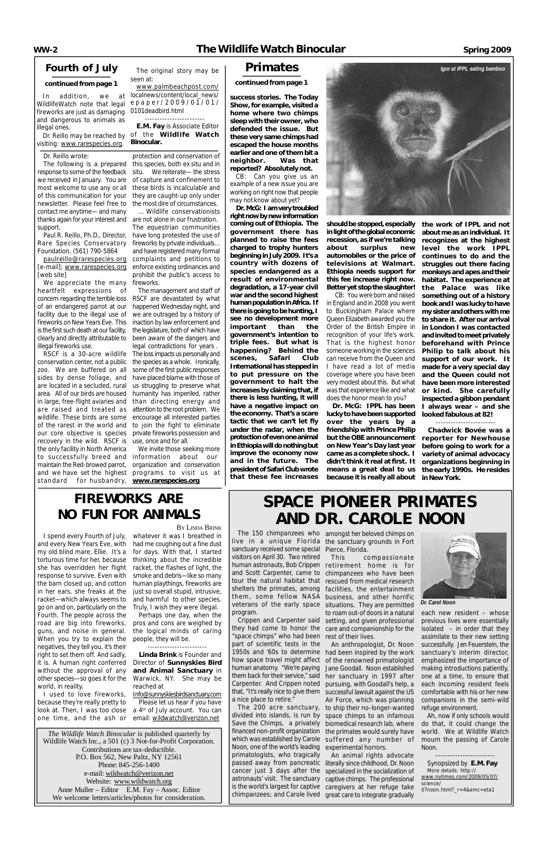*The Wildlife Watch Binocular* is published quarterly by Wildlife Watch Inc., a 501 (c) 3 Not-for-Profit Corporation. Contributions are tax-deductible. P.O. Box 562, New Paltz, NY 12561 Phone: 845-256-1400 e-mail: [wildwatch@verizon.net](mailto:wildwatch@verizon.net) Website: [www.wildwatch.org](http://www.wildwatch.org) Anne Muller – Editor E.M. Fay – Assoc. Editor We welcome letters/articles/photos for consideration.

## **Fourth of July**

### **continued from page 1**

## **Primates**

#### **continued from page 1**

WildlifeWatch note that *legal* e p a p e r / 200 9 / 0 1 / 01/ *fireworks are just as damaging* 0101deadbird.html and dangerous to animals as illegal ones.

visiting: [www.rarespecies.org](http://www.rarespecies.org).

**success stories. The Today Show,for example, visited a home where two chimps sleep with their owner, who defended the issue. But these very same chimpshad escaped the house months earlier and one of them bit a neighbor. Was that reported? Absolutely not.**

CB: Can you give us an example of a new issue you are working on right now that people may not know about yet?

> should be stopped, especially in light of the global economic **recession, as if we're talking about surplus new automobiles or the price of televisions at Walmart. Ethiopia needs support for this fee increase right now. Betteryet stopthe slaughter!**

**Dr.McG: Iamverytroubled right now by new information coming out of Ethiopia. The government there has planned to raise the fees charged to trophy hunters beginningin July2009. It's a country with dozens of species endangered as a result of environmental degradation, a 17-year civil war and the second highest human population in Africa.** If **thereisgoingtobehunting, I see no development more important than the government's intention to triple fees. But what is happening? Behind the scenes, Safari Club Internationalhas steppedin to put pressure on the government to halt the increases by claimingthat, if there is less hunting, it will have a negative impact on the economy. That's a scare tactic that we can't let fly under the radar, when the protectionofevenoneanimal inEthiopiawilldonothingbut improve the economy now and in the future. The** president of Safari Club wrote **that these fee increases**

CB: You were born and raised in England and in 2008 you went to Buckingham Palace where Queen Elizabeth awarded you the Order of the British Empire in recognition of your life's work. That is the highest honor someone working in the sciences can receive from the Queen and I have read a lot of media coverage where you have been very modest about this. But what was that experience like and what does the honor mean to you?

Crippen and Carpenter said setting, and given professional previous lives were essentially isolated – in order that they assimilate to their new setting successfully. Jen Feuerstein, the sanctuary's interim director, emphasized the importance of making introductions patiently, one at a time, to ensure that each incoming resident feels comfortable with his or her new companions in the semi-wild refuge environment. Ah, now if only schools would do that, it could change the world. We at Wildlife Watch mourn the passing of Carole Noon.

**Dr. McG: IPPL has been luckytohavebeensupported over the years by a friendship with Prince Philip but the OBE announcement on New Year's Day last year came as a complete shock. I didn't think it real at first. It means a great deal to us because it is really all about in New York.**

**the work of IPPL and not aboutme as anindividual. It recognizes at the highest level the work IPPL continues to do and the struggles out there facing monkeys and apes and their habitat. The experience at the Palace was like something out of a history bookandIwas lucky tohave my sisterandothers with me to share it. After our arrival in London I was contacted andinvitedtomeet privately beforehand with Prince Philip to talk about his support of our work. It made for a very special day and the Queen could not have been more interested or kind. She carefully inspected a gibbon pendant I always wear – and she looked fabulous at 82!**

In addition, we at localnews/content/local\_news/ [www.palmbeachpost.com/](http://www.palmbeachpost.com/)

#### ------------------------

Dr. Reillo may be reached by of the *Wildlife Watch* ------------------------ **E.M. Fay** is Associate Editor *Binocular.*

> **Chadwick Bovée was a reporter for Newhouse before going to work for a variety of animal advocacy organizations beginning in the early 1990s. He resides**

*Dr. Carol Noon*

The 150 chimpanzees who amongst her beloved chimps on live in a unique Florida the sanctuary grounds in Fort sanctuary received some special Pierce, Florida. visitors on April 30. Two retired human astronauts, Bob Crippen retirement home is for and Scott Carpenter, came to chimpanzees who have been tour the natural habitat that rescued from medical research shelters the primates, among facilities, the entertainment them, some fellow NASA business, and other horrific veterans of the early space situations. They are permitted program.

a nice place to retire."

they had come to honor the care and companionship for the "space chimps" who had been rest of their lives. part of scientific tests in the An anthropologist, Dr. Noon

# **SPACE PIONEER PRIMATES AND DR. CAROLE NOON**

1950s and '60s to determine had been inspired by the work how space travel might affect human anatomy. "We're paying Jane Goodall. Noon established them back for their service," said her sanctuary in 1997 after Carpenter. And Crippen noted pursuing, with Goodall's help, a that, "It's really nice to give them successful lawsuit against the US The 200 acre sanctuary, to ship their no-longer-wanted divided into islands, is run by space chimps to an infamous Save the Chimps, a privately biomedical research lab, where financed non-profit organization the primates would surely have which was established by Carole suffered any number of Noon, one of the world's leading experimental horrors. of the renowned primatologist Air Force, which was planning

primatologists, who tragically passed away from pancreatic literally since childhood, Dr. Noon cancer just 3 days after the specialized in the socialization of astronauts' visit. The sanctuary captive chimps. The professional is the world's largest for captive caregivers at her refuge take chimpanzees; and Carole lived great care to integrate gradually An animal rights advocate

look at. Then, I was too close a 4<sup>th</sup> of July account. You can one time, and the ash or email: [wildwatch@verizon.net](mailto:wildwatch@verizon.net) [Info@sunnyskiesbirdsanctuary.com](mailto:Info@sunnyskiesbirdsanctuary.com) Please let us hear if you have

This compassionate to roam out-of doors in a natural each new resident – whose

------------------------ Synopsized by **E.M. Fay** More details: http:// [www.nytimes.com/2009/05/07/](http://www.nytimes.com/2009/05/07/) science/ 07noon.html?\_r=4&emc=eta1

The original story may be seen at:

#### Dr. Reillo wrote:

The following is a prepared response to some of the feedback we received in January. You are most welcome to use any or all of this communication for your newsletter. Please feel free to contact me anytime— and many thanks again for yourinterest and *are not alone in our frustration.*  support.

Rare Species Conservatory Foundation, (561) 790-5864

[paulreillo@rarespecies.org](mailto:paulreillo@rarespecies.org) [e-mail]; [www.rarespecies.org](http://www.rarespecies.org) [web site]

*We appreciate the many heartfelt expressions of concern regarding the terrible loss of an endangered parrot at our facility due to the illegal use of fireworks onNew Years Eve. This is thefirst such death atourfacility, clearly and directly attributable to been aware of the dangers and illegal fireworks use.* 

Paul R. Reillo, Ph.D., Director, *have long protested the use of … Wildlife conservationists The equestrian communities fireworks by private individuals… and have registered many formal complaints and petitions to enforce existing ordinances and prohibit the public's access to fireworks.* 

*protection and conservation of this species, both ex situ and in situ. We reiterate— the stress of capture and confinement to these birds is incalculable and they are caught-up only under the most dire of circumstances.* 

*RSCF is a 30-acre wildlife Theloss impactsuspersonallyand The management and staff of RSCF are devastated by what happened Wednesday night, and we are outraged by a history of inaction by law enforcement and thelegislature,bothof which have legal contradictions for years . the species as a whole. Ironically, some of thefirst public responses us struggling to preserve what*

*conservation center, not a public zoo. We are buffered on all sides by dense foliage, and have placed blame with those of are located in a secluded, rural area. All of our birds are housed humanity has imperiled, rather in large, free-flight aviaries and than directing energy and are raised and treated as attention to theroot problem. We wildlife. These birds are some encourage all interested parties of the rarest in the world and to join the fight to eliminate our core objective is species private fireworks possession and recovery in the wild. RSCF is use, once and for all. the only facility in North America to successfully breed and information about our maintain the Red-browed parrot, organization and conservation and we have set the highest programs to visit us at standard for husbandry, [www.rarespecies.org](http://www.rarespecies.org)*

*We invite those seeking more*

I spend every Fourth of July, and every New Years Eve, with my old blind mare, Ellie. It's a torturous time for her, because she has overridden her flight response to survive. Even with the barn closed up, and cotton in her ears, she freaks at the racket—which always seems to go on and on, particularly on the Fourth. The people across the road are big into fireworks, guns, and noise in general. When you try to explain the negatives, they tell you, it's their right to set them off. And sadly, it is. A human right conferred without the approval of any other species—so goes it for the world, in reality.

I used to love fireworks, because they're really pretty to

whatever it was I breathed in had me coughing out a fine dust for days. With that, I started thinking about the incredible racket, the flashes of light, the smoke and debris—like so many human playthings, fireworks are just so overall stupid, intrusive, and harmful to other species. Truly, I wish they were illegal.

Perhaps one day, when the pros and cons are weighed by the logical minds of caring people, they will be.

------------------------

**Linda Brink** is Founder and Director of **Sunnyskies Bird and Animal Sanctuary** in Warwick, NY. She may be reached at

# **FIREWORKS ARE NO FUN FOR ANIMALS**

BY LINDA BRINK

*Igor at IPPL eating bamboo*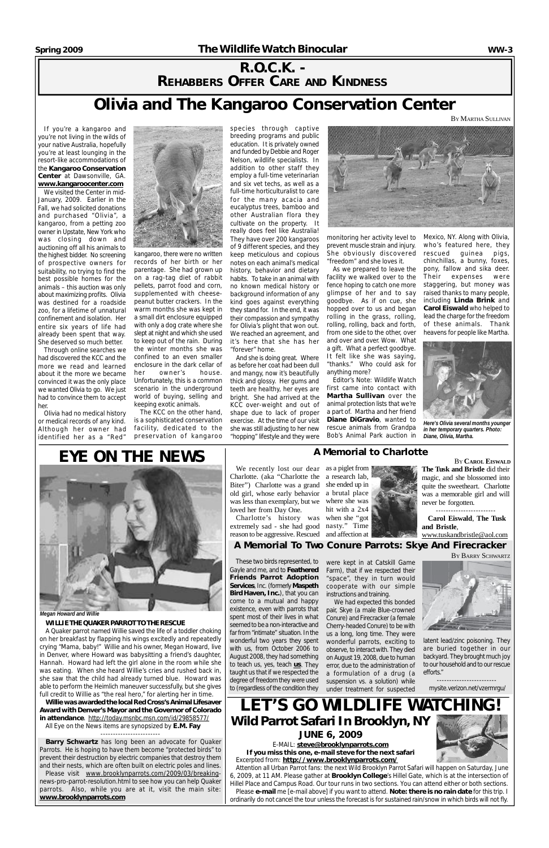## **R.O.C.K. - REHABBERS OFFER CARE AND KINDNESS**

# **Olivia and The Kangaroo Conservation Center**

If you're a kangaroo and you're not living in the wilds of your native Australia, hopefully you're at least lounging in the resort-like accommodations of the **Kangaroo Conservation Center** at Dawsonville, GA. **[www.kangaroocenter.com](http://www.kangaroocenter.com)**

We visited the Center in mid-January, 2009. Earlier in the Fall, we had solicited donations and purchased "Olivia", a kangaroo, from a petting zoo owner in Upstate, New York who was closing down and auctioning off all his animals to the highest bidder. No screening of prospective owners for suitability, no trying to find the best possible homes for the animals – this auction was only about maximizing profits. Olivia was destined for a roadside zoo, for a lifetime of unnatural confinement and isolation. Her entire six years of life had already been spent that way. She deserved so much better.

Through online searches we had discovered the KCC and the more we read and learned about it the more we became convinced it was the only place we wanted Olivia to go. We just had to convince them to accept her.

Olivia had no medical history or medical records of any kind. Although her owner had identified her as a "Red"



kangaroo, there were no written records of her birth or her parentage. She had grown up on a rag-tag diet of rabbit pellets, parrot food and corn, supplemented with cheesepeanut butter crackers. In the warm months she was kept in a small dirt enclosure equipped with only a dog crate where she slept at night and which she used to keep out of the rain. During the winter months she was confined to an even smaller enclosure in the dark cellar of her owner's house. Unfortunately, this is a common scenario in the underground world of buying, selling and keeping exotic animals.

The KCC on the other hand, is a sophisticated conservation facility, dedicated to the preservation of kangaroo

species through captive breeding programs and public education. It is privately owned and funded by Debbie and Roger Nelson, wildlife specialists. In addition to other staff they employ a full-time veterinarian and six vet techs, as well as a full-time horticulturalist to care for the many acacia and eucalyptus trees, bamboo and other Australian flora they cultivate on the property. It really does feel like Australia! They have over 200 kangaroos of 9 different species, and they keep meticulous and copious notes on each animal's medical history, behavior and dietary habits. To take in an animal with no known medical history or background information of any kind goes against everything they stand for. In the end, it was their compassion and sympathy for Olivia's plight that won out. We reached an agreement, and it's here that she has her "forever" home.

*Attention all Urban Parrot fans: the next Wild Brooklyn Parrot Safari will happen on Saturday, June* 6, 2009, at 11 AM. Please gather at Brooklyn College's Hillel Gate, which is at the intersection of Hillel Place and Campus Road. Our tour runs in two sections. You can attend either or both sections. *Please e-mail me [e-mail above] if you wantto attend. Note: there is no rain date for this trip. I* ordinarily do not cancel the tour unless the forecast is for sustained rain/snow in which birds will not fly.



And she is doing great. Where as before her coat had been dull and mangy, now it's beautifully thick and glossy. Her gums and teeth are healthy, her eyes are bright. She had arrived at the KCC over-weight and out of shape due to lack of proper exercise. At the time of our visit she was still adjusting to her new "hopping" lifestyle and they were

# $\tt LET'S GO WILLIFE W$ **Wild Parrot Safari In Brooklyn, NY JUNE 6, 2009**

monitoring her activity level to prevent muscle strain and injury. She obviously discovered "freedom" and she loves it.

We recently lost our dear as a piglet from Charlotte. (aka "Charlotte the a research lab, Biter") Charlotte was a grand she ended up in old girl, whose early behavior a brutal place was less than exemplary, but we where she was loved her from Day One.

Charlotte's history was when she "got extremely sad - she had good nasty." Time reason to be aggressive. Rescued and affection at

As we prepared to leave the facility we walked over to the fence hoping to catch one more glimpse of her and to say goodbye. As if on cue, she hopped over to us and began rolling in the grass, rolling, rolling, rolling, back and forth, from one side to the other, over and over and over. Wow. What a gift. What a perfect goodbye. It felt like she was saying, "thanks." Who could ask for anything more?

These two birds represented, to Gayle and me, and to **Feathered Friends Parrot Adoption Services, Inc. (formerly Maspeth Bird Haven, Inc.**), that you can come to a mutual and happy existence, even with parrots that spent most of their lives in what seemed to be a non-interactive and far from "intimate" situation. In the wonderful two years they spent with us, from October 2006 to August 2008, they had something to teach us, yes, teach *us*. They taught us that if we respected the degree of freedom they were used to (regardless of the condition they

Editor's Note: Wildlife Watch first came into contact with **Martha Sullivan** over the animal protection lists that we're a part of. Martha and her friend **Diane DiGravio**, wanted to rescue animals from Grandpa Bob's Animal Park auction in

Cherry-headed Conure) to be with us a long, long time. They were wonderful parrots, exciting to observe, to interact with. They died onAugust 19,2008,due to human error, due to the administration of a formulation of a drug (a suspension vs. a solution) while under treatment for suspected



Mexico, NY. Along with Olivia, who's featured here, they rescued guinea pigs, chinchillas, a bunny, foxes, pony, fallow and sika deer. Their expenses were staggering, but money was raised thanks to many people, including **Linda Brink** and **Carol Eiswald** who helped to lead the charge for the freedom of these animals. Thank heavens for people like Martha.

#### *WILLIETHEQUAKERPARROTTOTHERESCUE*

A Quaker parrot named Willie saved the life of a toddler choking on her breakfast by flapping his wings excitedly and repeatedly crying "Mama, baby!" Willie and his owner, Megan Howard, live in Denver, where Howard was babysitting a friend's daughter, Hannah. Howard had left the girl alone in the room while she was eating. When she heard Willie's cries and rushed back in, she saw that the child had already turned blue. Howard was able to perform the Heimlich maneuver successfully, but she gives full credit to Willie as "the real hero," for alerting her in time.

**Willie was awardedthe localRedCross'sAnimal Lifesaver Award with Denver's Mayor and the Governor of Colorado in attendance**. <http://today.msnbc.msn.com/id/29858577/> All Eye on the News items are synopsized by **E.M. Fay**

------------------------

**Barry Schwartz** has long been an advocate for Quaker Parrots. He is hoping to have them become "protected birds" to prevent their destruction by electric companies that destroy them and their nests, which are often built on electric poles and lines. Please visit [www.brooklynparrots.com/2009/03/breaking](http://www.brooklynparrots.com/2009/03/breaking)news-pro-parrot-resolution.html to see how you can help Quaker parrots. Also, while you are at it, visit the main site: **[www.brooklynparrots.com](http://www.brooklynparrots.com)**



*Megan Howard and Willie*



*Here's Olivia several months younger in her temporary quarters. Photo: Diane, Olivia, Martha.*

Excerpted from: **<http://www.brooklynparrots.com/> If you miss this one, e-mail steve for the next safari**

E-MAIL: **[steve@brooklynparrots.com](mailto:steve@brooklynparrots.com)**

## **A Memorial to Charlotte**



hit with a 2x4

**Carol Eiswald**, **The Tusk and Bristle**,

[www.tuskandbristle@aol.com](http://www.tuskandbristle@aol.com)

**A Memorial To Two Conure Parrots: Skye And Firecracker**



instructions and training.

latent lead/zinc poisoning. They are buried together in our backyard. They brought much joy to our household and to our rescue efforts."

----------------------- mysite.verizon.net/vzermrgu/